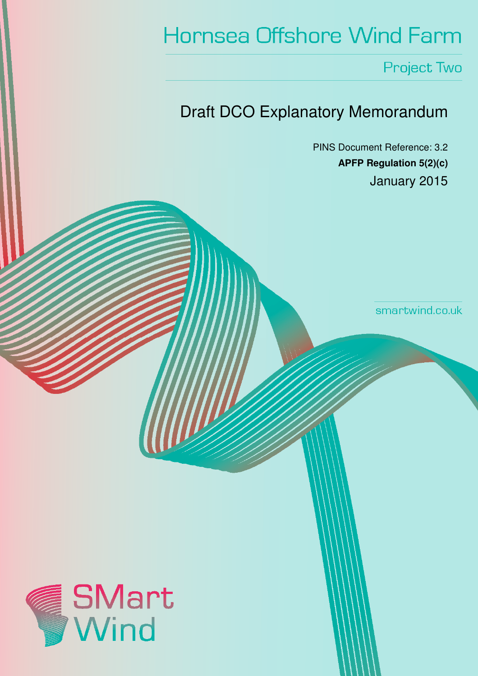# **Hornsea Offshore Wind Farm**

Project Two

# Draft DCO Explanatory Memorandum

PINS Document Reference: 3.2 **APFP Regulation 5(2)(c)**  January 2015

smartwind.co.uk

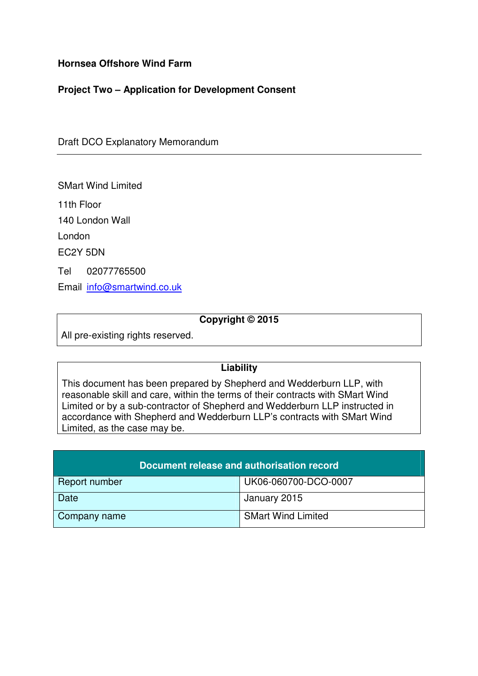# **Hornsea Offshore Wind Farm**

# **Project Two – Application for Development Consent**

Draft DCO Explanatory Memorandum

SMart Wind Limited

11th Floor

140 London Wall

London

EC2Y 5DN

Tel 02077765500

Email info@smartwind.co.uk

# **Copyright © 2015**

All pre-existing rights reserved.

# **Liability**

This document has been prepared by Shepherd and Wedderburn LLP, with reasonable skill and care, within the terms of their contracts with SMart Wind Limited or by a sub-contractor of Shepherd and Wedderburn LLP instructed in accordance with Shepherd and Wedderburn LLP's contracts with SMart Wind Limited, as the case may be.

| Document release and authorisation record |                           |
|-------------------------------------------|---------------------------|
| Report number                             | UK06-060700-DCO-0007      |
| Date                                      | January 2015              |
| Company name                              | <b>SMart Wind Limited</b> |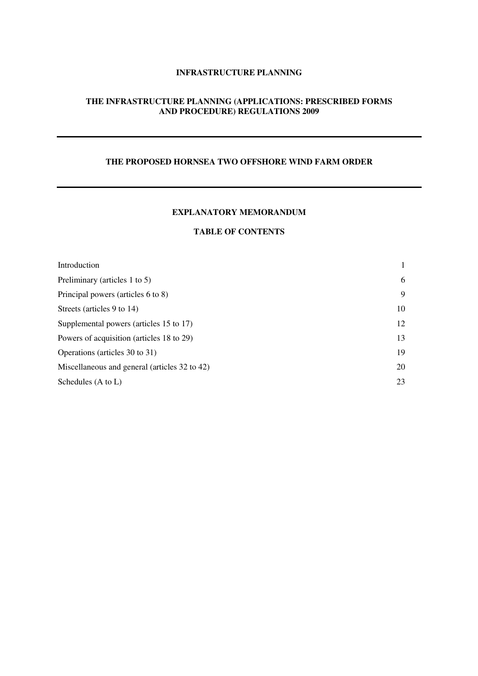#### **INFRASTRUCTURE PLANNING**

#### **THE INFRASTRUCTURE PLANNING (APPLICATIONS: PRESCRIBED FORMS AND PROCEDURE) REGULATIONS 2009**

#### **THE PROPOSED HORNSEA TWO OFFSHORE WIND FARM ORDER**

#### **EXPLANATORY MEMORANDUM**

#### **TABLE OF CONTENTS**

| Introduction                                  |    |
|-----------------------------------------------|----|
| Preliminary (articles 1 to 5)                 | 6  |
| Principal powers (articles 6 to 8)            | 9  |
| Streets (articles 9 to 14)                    | 10 |
| Supplemental powers (articles 15 to 17)       | 12 |
| Powers of acquisition (articles 18 to 29)     | 13 |
| Operations (articles 30 to 31)                | 19 |
| Miscellaneous and general (articles 32 to 42) | 20 |
| Schedules (A to L)                            | 23 |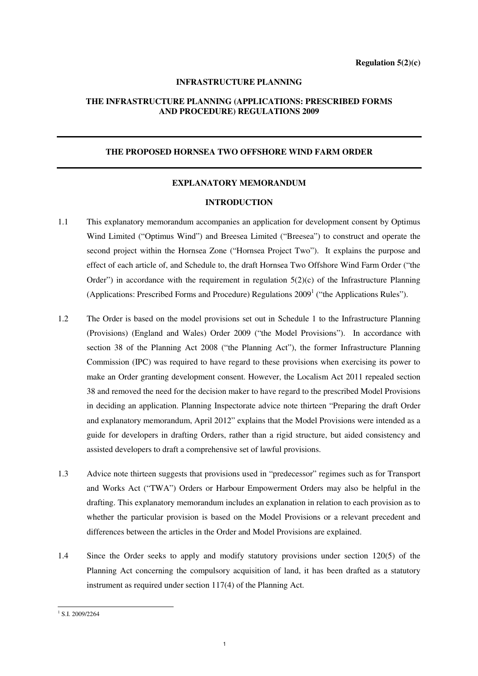#### **INFRASTRUCTURE PLANNING**

#### **THE INFRASTRUCTURE PLANNING (APPLICATIONS: PRESCRIBED FORMS AND PROCEDURE) REGULATIONS 2009**

#### **THE PROPOSED HORNSEA TWO OFFSHORE WIND FARM ORDER**

#### **EXPLANATORY MEMORANDUM**

#### **INTRODUCTION**

- 1.1 This explanatory memorandum accompanies an application for development consent by Optimus Wind Limited ("Optimus Wind") and Breesea Limited ("Breesea") to construct and operate the second project within the Hornsea Zone ("Hornsea Project Two"). It explains the purpose and effect of each article of, and Schedule to, the draft Hornsea Two Offshore Wind Farm Order ("the Order") in accordance with the requirement in regulation  $5(2)(c)$  of the Infrastructure Planning (Applications: Prescribed Forms and Procedure) Regulations  $2009<sup>1</sup>$  ("the Applications Rules").
- 1.2 The Order is based on the model provisions set out in Schedule 1 to the Infrastructure Planning (Provisions) (England and Wales) Order 2009 ("the Model Provisions"). In accordance with section 38 of the Planning Act 2008 ("the Planning Act"), the former Infrastructure Planning Commission (IPC) was required to have regard to these provisions when exercising its power to make an Order granting development consent. However, the Localism Act 2011 repealed section 38 and removed the need for the decision maker to have regard to the prescribed Model Provisions in deciding an application. Planning Inspectorate advice note thirteen "Preparing the draft Order and explanatory memorandum, April 2012" explains that the Model Provisions were intended as a guide for developers in drafting Orders, rather than a rigid structure, but aided consistency and assisted developers to draft a comprehensive set of lawful provisions.
- 1.3 Advice note thirteen suggests that provisions used in "predecessor" regimes such as for Transport and Works Act ("TWA") Orders or Harbour Empowerment Orders may also be helpful in the drafting. This explanatory memorandum includes an explanation in relation to each provision as to whether the particular provision is based on the Model Provisions or a relevant precedent and differences between the articles in the Order and Model Provisions are explained.
- 1.4 Since the Order seeks to apply and modify statutory provisions under section 120(5) of the Planning Act concerning the compulsory acquisition of land, it has been drafted as a statutory instrument as required under section 117(4) of the Planning Act.

<sup>&</sup>lt;sup>1</sup> S.I. 2009/2264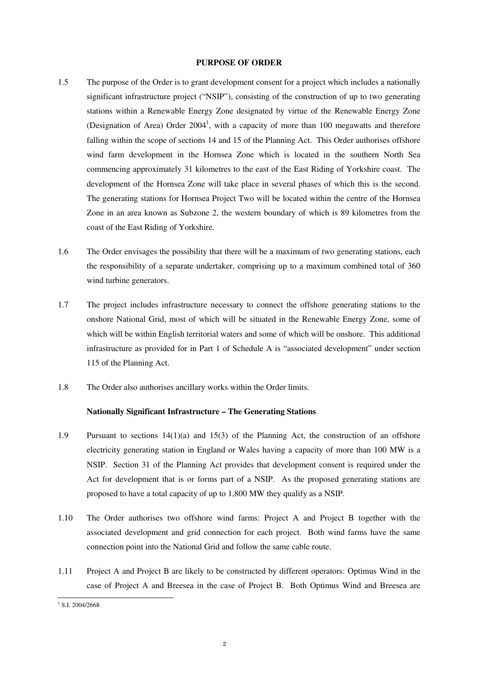#### **PURPOSE OF ORDER**

- 1.5 The purpose of the Order is to grant development consent for a project which includes a nationally significant infrastructure project ("NSIP"), consisting of the construction of up to two generating stations within a Renewable Energy Zone designated by virtue of the Renewable Energy Zone (Designation of Area) Order  $2004<sup>1</sup>$ , with a capacity of more than 100 megawatts and therefore falling within the scope of sections 14 and 15 of the Planning Act. This Order authorises offshore wind farm development in the Hornsea Zone which is located in the southern North Sea commencing approximately 31 kilometres to the east of the East Riding of Yorkshire coast. The development of the Hornsea Zone will take place in several phases of which this is the second. The generating stations for Hornsea Project Two will be located within the centre of the Hornsea Zone in an area known as Subzone 2, the western boundary of which is 89 kilometres from the coast of the East Riding of Yorkshire.
- 1.6 The Order envisages the possibility that there will be a maximum of two generating stations, each the responsibility of a separate undertaker, comprising up to a maximum combined total of 360 wind turbine generators.
- 1.7 The project includes infrastructure necessary to connect the offshore generating stations to the onshore National Grid, most of which will be situated in the Renewable Energy Zone, some of which will be within English territorial waters and some of which will be onshore. This additional infrastructure as provided for in Part 1 of Schedule A is "associated development" under section 115 of the Planning Act.
- 1.8 The Order also authorises ancillary works within the Order limits.

#### **Nationally Significant Infrastructure – The Generating Stations**

- 1.9 Pursuant to sections 14(1)(a) and 15(3) of the Planning Act, the construction of an offshore electricity generating station in England or Wales having a capacity of more than 100 MW is a NSIP. Section 31 of the Planning Act provides that development consent is required under the Act for development that is or forms part of a NSIP. As the proposed generating stations are proposed to have a total capacity of up to 1,800 MW they qualify as a NSIP.
- 1.10 The Order authorises two offshore wind farms: Project A and Project B together with the associated development and grid connection for each project. Both wind farms have the same connection point into the National Grid and follow the same cable route.
- 1.11 Project A and Project B are likely to be constructed by different operators: Optimus Wind in the case of Project A and Breesea in the case of Project B. Both Optimus Wind and Breesea are

<sup>&</sup>lt;sup>1</sup> S.I. 2004/2668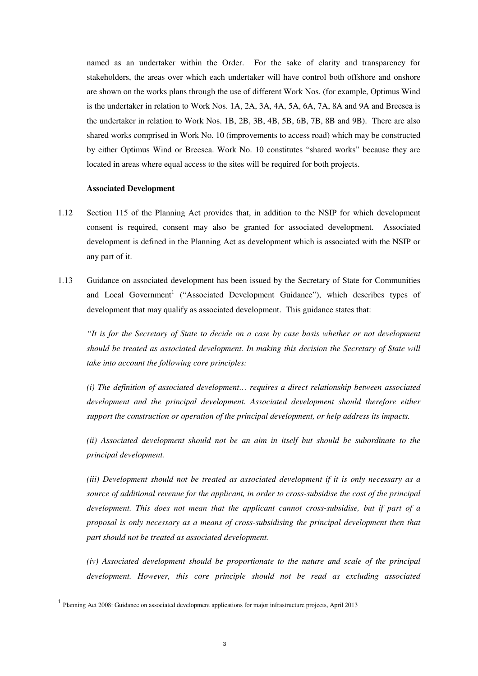named as an undertaker within the Order. For the sake of clarity and transparency for stakeholders, the areas over which each undertaker will have control both offshore and onshore are shown on the works plans through the use of different Work Nos. (for example, Optimus Wind is the undertaker in relation to Work Nos. 1A, 2A, 3A, 4A, 5A, 6A, 7A, 8A and 9A and Breesea is the undertaker in relation to Work Nos. 1B, 2B, 3B, 4B, 5B, 6B, 7B, 8B and 9B). There are also shared works comprised in Work No. 10 (improvements to access road) which may be constructed by either Optimus Wind or Breesea. Work No. 10 constitutes "shared works" because they are located in areas where equal access to the sites will be required for both projects.

#### **Associated Development**

- 1.12 Section 115 of the Planning Act provides that, in addition to the NSIP for which development consent is required, consent may also be granted for associated development. Associated development is defined in the Planning Act as development which is associated with the NSIP or any part of it.
- 1.13 Guidance on associated development has been issued by the Secretary of State for Communities and Local Government<sup>1</sup> ("Associated Development Guidance"), which describes types of development that may qualify as associated development. This guidance states that:

*"It is for the Secretary of State to decide on a case by case basis whether or not development should be treated as associated development. In making this decision the Secretary of State will take into account the following core principles:* 

*(i) The definition of associated development… requires a direct relationship between associated development and the principal development. Associated development should therefore either support the construction or operation of the principal development, or help address its impacts.* 

*(ii) Associated development should not be an aim in itself but should be subordinate to the principal development.* 

*(iii) Development should not be treated as associated development if it is only necessary as a source of additional revenue for the applicant, in order to cross-subsidise the cost of the principal development. This does not mean that the applicant cannot cross-subsidise, but if part of a proposal is only necessary as a means of cross-subsidising the principal development then that part should not be treated as associated development.* 

*(iv) Associated development should be proportionate to the nature and scale of the principal development. However, this core principle should not be read as excluding associated* 

 $\overline{\phantom{a}}$ 

<sup>1</sup> Planning Act 2008: Guidance on associated development applications for major infrastructure projects, April 2013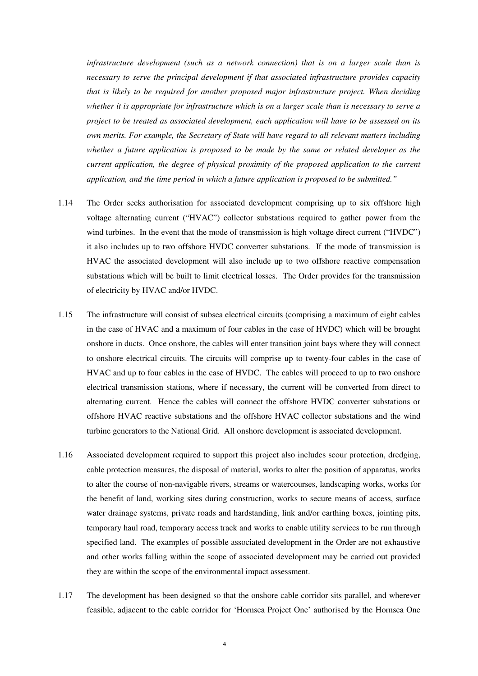*infrastructure development (such as a network connection) that is on a larger scale than is necessary to serve the principal development if that associated infrastructure provides capacity that is likely to be required for another proposed major infrastructure project. When deciding whether it is appropriate for infrastructure which is on a larger scale than is necessary to serve a project to be treated as associated development, each application will have to be assessed on its own merits. For example, the Secretary of State will have regard to all relevant matters including whether a future application is proposed to be made by the same or related developer as the current application, the degree of physical proximity of the proposed application to the current application, and the time period in which a future application is proposed to be submitted."*

- 1.14 The Order seeks authorisation for associated development comprising up to six offshore high voltage alternating current ("HVAC") collector substations required to gather power from the wind turbines. In the event that the mode of transmission is high voltage direct current ("HVDC") it also includes up to two offshore HVDC converter substations. If the mode of transmission is HVAC the associated development will also include up to two offshore reactive compensation substations which will be built to limit electrical losses. The Order provides for the transmission of electricity by HVAC and/or HVDC.
- 1.15 The infrastructure will consist of subsea electrical circuits (comprising a maximum of eight cables in the case of HVAC and a maximum of four cables in the case of HVDC) which will be brought onshore in ducts. Once onshore, the cables will enter transition joint bays where they will connect to onshore electrical circuits. The circuits will comprise up to twenty-four cables in the case of HVAC and up to four cables in the case of HVDC. The cables will proceed to up to two onshore electrical transmission stations, where if necessary, the current will be converted from direct to alternating current. Hence the cables will connect the offshore HVDC converter substations or offshore HVAC reactive substations and the offshore HVAC collector substations and the wind turbine generators to the National Grid. All onshore development is associated development.
- 1.16 Associated development required to support this project also includes scour protection, dredging, cable protection measures, the disposal of material, works to alter the position of apparatus, works to alter the course of non-navigable rivers, streams or watercourses, landscaping works, works for the benefit of land, working sites during construction, works to secure means of access, surface water drainage systems, private roads and hardstanding, link and/or earthing boxes, jointing pits, temporary haul road, temporary access track and works to enable utility services to be run through specified land. The examples of possible associated development in the Order are not exhaustive and other works falling within the scope of associated development may be carried out provided they are within the scope of the environmental impact assessment.
- 1.17 The development has been designed so that the onshore cable corridor sits parallel, and wherever feasible, adjacent to the cable corridor for 'Hornsea Project One' authorised by the Hornsea One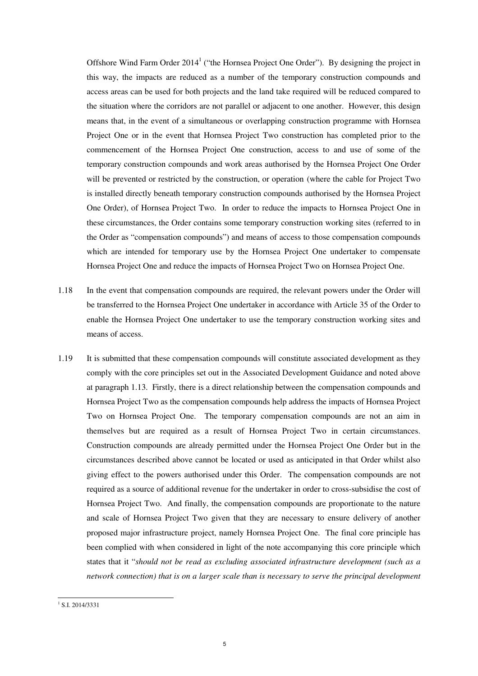Offshore Wind Farm Order  $2014<sup>1</sup>$  ("the Hornsea Project One Order"). By designing the project in this way, the impacts are reduced as a number of the temporary construction compounds and access areas can be used for both projects and the land take required will be reduced compared to the situation where the corridors are not parallel or adjacent to one another. However, this design means that, in the event of a simultaneous or overlapping construction programme with Hornsea Project One or in the event that Hornsea Project Two construction has completed prior to the commencement of the Hornsea Project One construction, access to and use of some of the temporary construction compounds and work areas authorised by the Hornsea Project One Order will be prevented or restricted by the construction, or operation (where the cable for Project Two is installed directly beneath temporary construction compounds authorised by the Hornsea Project One Order), of Hornsea Project Two. In order to reduce the impacts to Hornsea Project One in these circumstances, the Order contains some temporary construction working sites (referred to in the Order as "compensation compounds") and means of access to those compensation compounds which are intended for temporary use by the Hornsea Project One undertaker to compensate Hornsea Project One and reduce the impacts of Hornsea Project Two on Hornsea Project One.

- 1.18 In the event that compensation compounds are required, the relevant powers under the Order will be transferred to the Hornsea Project One undertaker in accordance with Article 35 of the Order to enable the Hornsea Project One undertaker to use the temporary construction working sites and means of access.
- 1.19 It is submitted that these compensation compounds will constitute associated development as they comply with the core principles set out in the Associated Development Guidance and noted above at paragraph 1.13. Firstly, there is a direct relationship between the compensation compounds and Hornsea Project Two as the compensation compounds help address the impacts of Hornsea Project Two on Hornsea Project One. The temporary compensation compounds are not an aim in themselves but are required as a result of Hornsea Project Two in certain circumstances. Construction compounds are already permitted under the Hornsea Project One Order but in the circumstances described above cannot be located or used as anticipated in that Order whilst also giving effect to the powers authorised under this Order. The compensation compounds are not required as a source of additional revenue for the undertaker in order to cross-subsidise the cost of Hornsea Project Two. And finally, the compensation compounds are proportionate to the nature and scale of Hornsea Project Two given that they are necessary to ensure delivery of another proposed major infrastructure project, namely Hornsea Project One. The final core principle has been complied with when considered in light of the note accompanying this core principle which states that it "*should not be read as excluding associated infrastructure development (such as a network connection) that is on a larger scale than is necessary to serve the principal development*

<sup>&</sup>lt;sup>1</sup> S.I. 2014/3331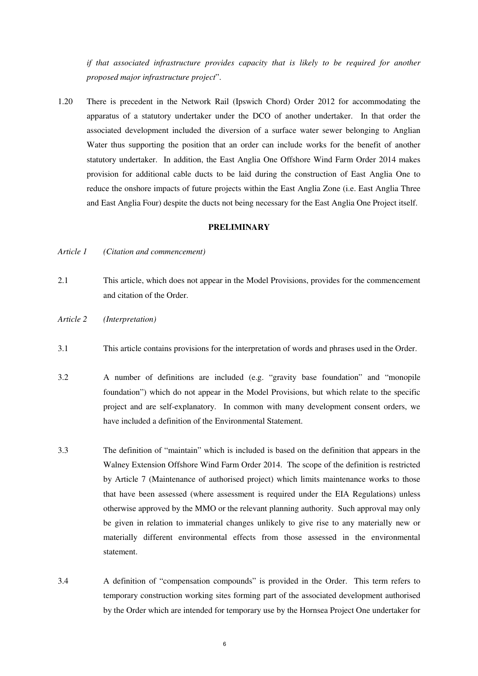*if that associated infrastructure provides capacity that is likely to be required for another proposed major infrastructure project*".

1.20 There is precedent in the Network Rail (Ipswich Chord) Order 2012 for accommodating the apparatus of a statutory undertaker under the DCO of another undertaker. In that order the associated development included the diversion of a surface water sewer belonging to Anglian Water thus supporting the position that an order can include works for the benefit of another statutory undertaker. In addition, the East Anglia One Offshore Wind Farm Order 2014 makes provision for additional cable ducts to be laid during the construction of East Anglia One to reduce the onshore impacts of future projects within the East Anglia Zone (i.e. East Anglia Three and East Anglia Four) despite the ducts not being necessary for the East Anglia One Project itself.

#### **PRELIMINARY**

- *Article 1 (Citation and commencement)*
- 2.1 This article, which does not appear in the Model Provisions, provides for the commencement and citation of the Order.
- *Article 2 (Interpretation)*
- 3.1 This article contains provisions for the interpretation of words and phrases used in the Order.
- 3.2 A number of definitions are included (e.g. "gravity base foundation" and "monopile foundation") which do not appear in the Model Provisions, but which relate to the specific project and are self-explanatory. In common with many development consent orders, we have included a definition of the Environmental Statement.
- 3.3 The definition of "maintain" which is included is based on the definition that appears in the Walney Extension Offshore Wind Farm Order 2014. The scope of the definition is restricted by Article 7 (Maintenance of authorised project) which limits maintenance works to those that have been assessed (where assessment is required under the EIA Regulations) unless otherwise approved by the MMO or the relevant planning authority. Such approval may only be given in relation to immaterial changes unlikely to give rise to any materially new or materially different environmental effects from those assessed in the environmental statement.
- 3.4 A definition of "compensation compounds" is provided in the Order. This term refers to temporary construction working sites forming part of the associated development authorised by the Order which are intended for temporary use by the Hornsea Project One undertaker for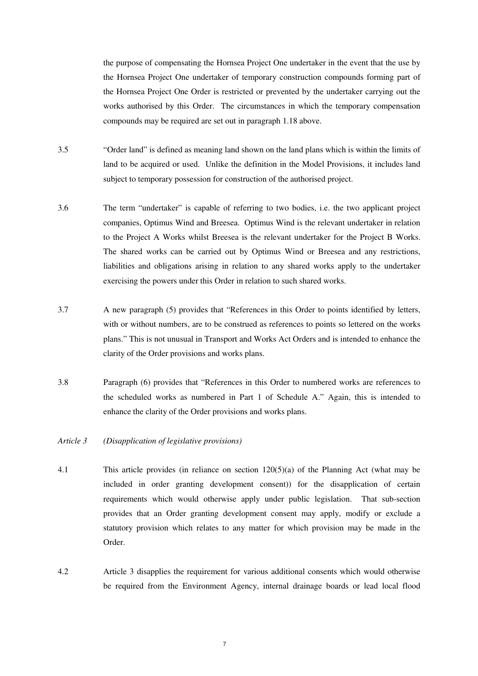the purpose of compensating the Hornsea Project One undertaker in the event that the use by the Hornsea Project One undertaker of temporary construction compounds forming part of the Hornsea Project One Order is restricted or prevented by the undertaker carrying out the works authorised by this Order. The circumstances in which the temporary compensation compounds may be required are set out in paragraph 1.18 above.

- 3.5 "Order land" is defined as meaning land shown on the land plans which is within the limits of land to be acquired or used. Unlike the definition in the Model Provisions, it includes land subject to temporary possession for construction of the authorised project.
- 3.6 The term "undertaker" is capable of referring to two bodies, i.e. the two applicant project companies, Optimus Wind and Breesea. Optimus Wind is the relevant undertaker in relation to the Project A Works whilst Breesea is the relevant undertaker for the Project B Works. The shared works can be carried out by Optimus Wind or Breesea and any restrictions, liabilities and obligations arising in relation to any shared works apply to the undertaker exercising the powers under this Order in relation to such shared works.
- 3.7 A new paragraph (5) provides that "References in this Order to points identified by letters, with or without numbers, are to be construed as references to points so lettered on the works plans." This is not unusual in Transport and Works Act Orders and is intended to enhance the clarity of the Order provisions and works plans.
- 3.8 Paragraph (6) provides that "References in this Order to numbered works are references to the scheduled works as numbered in Part 1 of Schedule A." Again, this is intended to enhance the clarity of the Order provisions and works plans.

#### *Article 3 (Disapplication of legislative provisions)*

- 4.1 This article provides (in reliance on section 120(5)(a) of the Planning Act (what may be included in order granting development consent)) for the disapplication of certain requirements which would otherwise apply under public legislation. That sub-section provides that an Order granting development consent may apply, modify or exclude a statutory provision which relates to any matter for which provision may be made in the Order.
- 4.2 Article 3 disapplies the requirement for various additional consents which would otherwise be required from the Environment Agency, internal drainage boards or lead local flood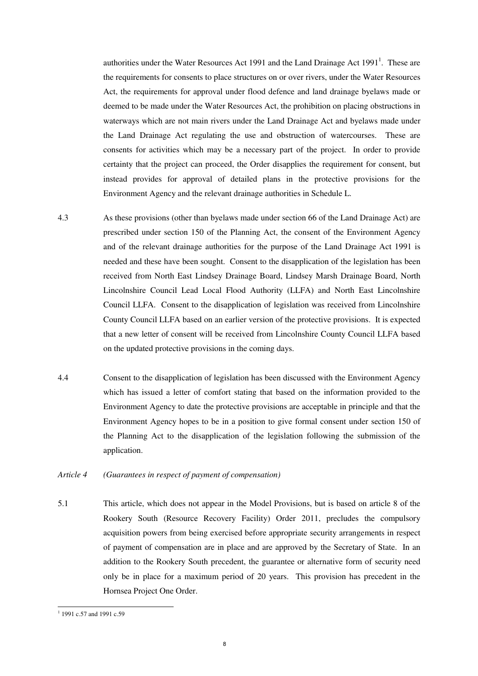authorities under the Water Resources Act 1991 and the Land Drainage Act  $1991<sup>1</sup>$ . These are the requirements for consents to place structures on or over rivers, under the Water Resources Act, the requirements for approval under flood defence and land drainage byelaws made or deemed to be made under the Water Resources Act, the prohibition on placing obstructions in waterways which are not main rivers under the Land Drainage Act and byelaws made under the Land Drainage Act regulating the use and obstruction of watercourses. These are consents for activities which may be a necessary part of the project. In order to provide certainty that the project can proceed, the Order disapplies the requirement for consent, but instead provides for approval of detailed plans in the protective provisions for the Environment Agency and the relevant drainage authorities in Schedule L.

- 4.3 As these provisions (other than byelaws made under section 66 of the Land Drainage Act) are prescribed under section 150 of the Planning Act, the consent of the Environment Agency and of the relevant drainage authorities for the purpose of the Land Drainage Act 1991 is needed and these have been sought. Consent to the disapplication of the legislation has been received from North East Lindsey Drainage Board, Lindsey Marsh Drainage Board, North Lincolnshire Council Lead Local Flood Authority (LLFA) and North East Lincolnshire Council LLFA. Consent to the disapplication of legislation was received from Lincolnshire County Council LLFA based on an earlier version of the protective provisions. It is expected that a new letter of consent will be received from Lincolnshire County Council LLFA based on the updated protective provisions in the coming days.
- 4.4 Consent to the disapplication of legislation has been discussed with the Environment Agency which has issued a letter of comfort stating that based on the information provided to the Environment Agency to date the protective provisions are acceptable in principle and that the Environment Agency hopes to be in a position to give formal consent under section 150 of the Planning Act to the disapplication of the legislation following the submission of the application.

#### *Article 4 (Guarantees in respect of payment of compensation)*

5.1 This article, which does not appear in the Model Provisions, but is based on article 8 of the Rookery South (Resource Recovery Facility) Order 2011, precludes the compulsory acquisition powers from being exercised before appropriate security arrangements in respect of payment of compensation are in place and are approved by the Secretary of State. In an addition to the Rookery South precedent, the guarantee or alternative form of security need only be in place for a maximum period of 20 years. This provision has precedent in the Hornsea Project One Order.

<sup>&</sup>lt;sup>1</sup> 1991 c.57 and 1991 c.59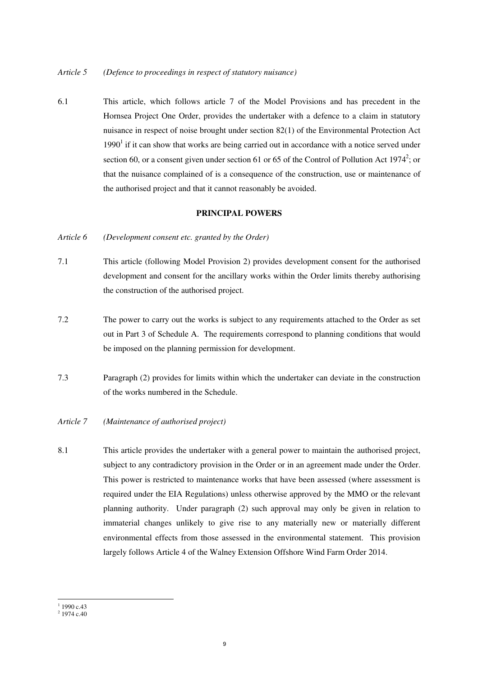6.1 This article, which follows article 7 of the Model Provisions and has precedent in the Hornsea Project One Order, provides the undertaker with a defence to a claim in statutory nuisance in respect of noise brought under section 82(1) of the Environmental Protection Act  $1990<sup>1</sup>$  if it can show that works are being carried out in accordance with a notice served under section 60, or a consent given under section 61 or 65 of the Control of Pollution Act 1974<sup>2</sup>; or that the nuisance complained of is a consequence of the construction, use or maintenance of the authorised project and that it cannot reasonably be avoided.

#### **PRINCIPAL POWERS**

- *Article 6 (Development consent etc. granted by the Order)*
- 7.1 This article (following Model Provision 2) provides development consent for the authorised development and consent for the ancillary works within the Order limits thereby authorising the construction of the authorised project.
- 7.2 The power to carry out the works is subject to any requirements attached to the Order as set out in Part 3 of Schedule A. The requirements correspond to planning conditions that would be imposed on the planning permission for development.
- 7.3 Paragraph (2) provides for limits within which the undertaker can deviate in the construction of the works numbered in the Schedule.
- *Article 7 (Maintenance of authorised project)*
- 8.1 This article provides the undertaker with a general power to maintain the authorised project, subject to any contradictory provision in the Order or in an agreement made under the Order. This power is restricted to maintenance works that have been assessed (where assessment is required under the EIA Regulations) unless otherwise approved by the MMO or the relevant planning authority. Under paragraph (2) such approval may only be given in relation to immaterial changes unlikely to give rise to any materially new or materially different environmental effects from those assessed in the environmental statement. This provision largely follows Article 4 of the Walney Extension Offshore Wind Farm Order 2014.

 $1_{1990 \text{ c.43}}$ 

 $2$  1974 c.40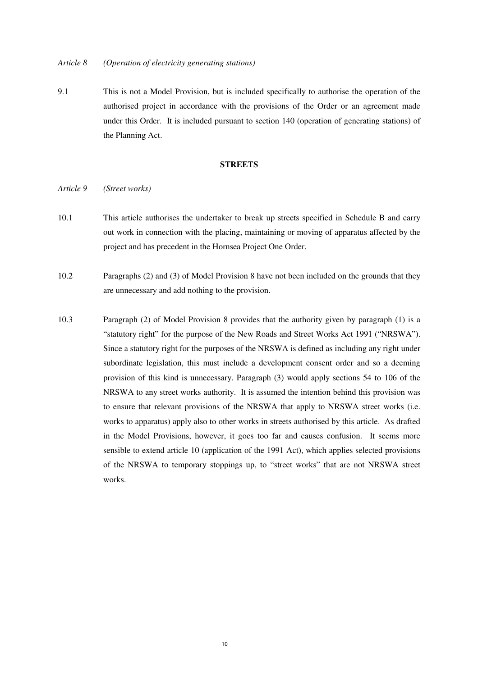9.1 This is not a Model Provision, but is included specifically to authorise the operation of the authorised project in accordance with the provisions of the Order or an agreement made under this Order. It is included pursuant to section 140 (operation of generating stations) of the Planning Act.

#### **STREETS**

#### *Article 9 (Street works)*

- 10.1 This article authorises the undertaker to break up streets specified in Schedule B and carry out work in connection with the placing, maintaining or moving of apparatus affected by the project and has precedent in the Hornsea Project One Order.
- 10.2 Paragraphs (2) and (3) of Model Provision 8 have not been included on the grounds that they are unnecessary and add nothing to the provision.
- 10.3 Paragraph (2) of Model Provision 8 provides that the authority given by paragraph (1) is a "statutory right" for the purpose of the New Roads and Street Works Act 1991 ("NRSWA"). Since a statutory right for the purposes of the NRSWA is defined as including any right under subordinate legislation, this must include a development consent order and so a deeming provision of this kind is unnecessary. Paragraph (3) would apply sections 54 to 106 of the NRSWA to any street works authority. It is assumed the intention behind this provision was to ensure that relevant provisions of the NRSWA that apply to NRSWA street works (i.e. works to apparatus) apply also to other works in streets authorised by this article. As drafted in the Model Provisions, however, it goes too far and causes confusion. It seems more sensible to extend article 10 (application of the 1991 Act), which applies selected provisions of the NRSWA to temporary stoppings up, to "street works" that are not NRSWA street works.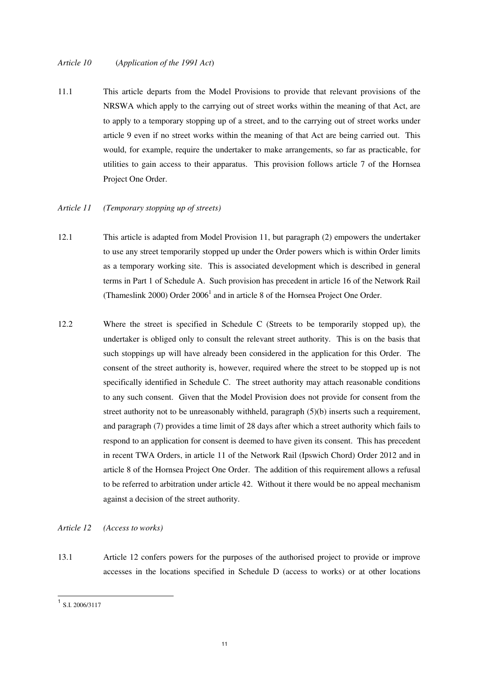#### *Article 10* (*Application of the 1991 Act*)

11.1 This article departs from the Model Provisions to provide that relevant provisions of the NRSWA which apply to the carrying out of street works within the meaning of that Act, are to apply to a temporary stopping up of a street, and to the carrying out of street works under article 9 even if no street works within the meaning of that Act are being carried out. This would, for example, require the undertaker to make arrangements, so far as practicable, for utilities to gain access to their apparatus. This provision follows article 7 of the Hornsea Project One Order.

#### *Article 11 (Temporary stopping up of streets)*

- 12.1 This article is adapted from Model Provision 11, but paragraph (2) empowers the undertaker to use any street temporarily stopped up under the Order powers which is within Order limits as a temporary working site. This is associated development which is described in general terms in Part 1 of Schedule A. Such provision has precedent in article 16 of the Network Rail (Thameslink 2000) Order  $2006<sup>1</sup>$  and in article 8 of the Hornsea Project One Order.
- 12.2 Where the street is specified in Schedule C (Streets to be temporarily stopped up), the undertaker is obliged only to consult the relevant street authority. This is on the basis that such stoppings up will have already been considered in the application for this Order. The consent of the street authority is, however, required where the street to be stopped up is not specifically identified in Schedule C. The street authority may attach reasonable conditions to any such consent. Given that the Model Provision does not provide for consent from the street authority not to be unreasonably withheld, paragraph (5)(b) inserts such a requirement, and paragraph (7) provides a time limit of 28 days after which a street authority which fails to respond to an application for consent is deemed to have given its consent. This has precedent in recent TWA Orders, in article 11 of the Network Rail (Ipswich Chord) Order 2012 and in article 8 of the Hornsea Project One Order. The addition of this requirement allows a refusal to be referred to arbitration under article 42. Without it there would be no appeal mechanism against a decision of the street authority.

#### *Article 12 (Access to works)*

13.1 Article 12 confers powers for the purposes of the authorised project to provide or improve accesses in the locations specified in Schedule D (access to works) or at other locations

 1 S.I. 2006/3117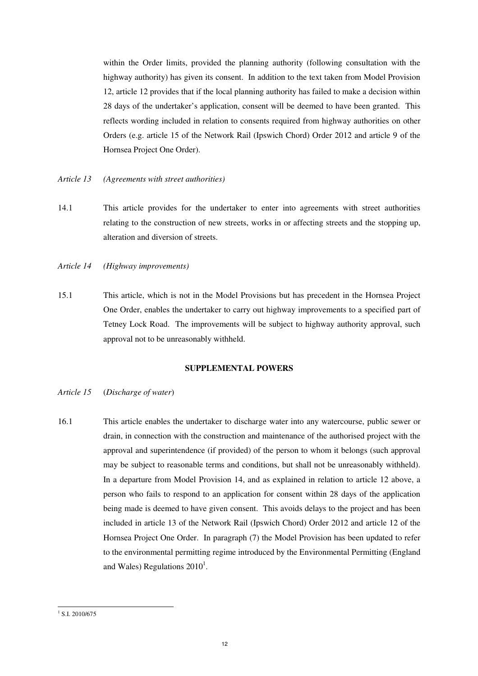within the Order limits, provided the planning authority (following consultation with the highway authority) has given its consent. In addition to the text taken from Model Provision 12, article 12 provides that if the local planning authority has failed to make a decision within 28 days of the undertaker's application, consent will be deemed to have been granted. This reflects wording included in relation to consents required from highway authorities on other Orders (e.g. article 15 of the Network Rail (Ipswich Chord) Order 2012 and article 9 of the Hornsea Project One Order).

#### *Article 13 (Agreements with street authorities)*

- 14.1 This article provides for the undertaker to enter into agreements with street authorities relating to the construction of new streets, works in or affecting streets and the stopping up, alteration and diversion of streets.
- *Article 14 (Highway improvements)*
- 15.1 This article, which is not in the Model Provisions but has precedent in the Hornsea Project One Order, enables the undertaker to carry out highway improvements to a specified part of Tetney Lock Road. The improvements will be subject to highway authority approval, such approval not to be unreasonably withheld.

#### **SUPPLEMENTAL POWERS**

#### *Article 15* (*Discharge of water*)

16.1 This article enables the undertaker to discharge water into any watercourse, public sewer or drain, in connection with the construction and maintenance of the authorised project with the approval and superintendence (if provided) of the person to whom it belongs (such approval may be subject to reasonable terms and conditions, but shall not be unreasonably withheld). In a departure from Model Provision 14, and as explained in relation to article 12 above, a person who fails to respond to an application for consent within 28 days of the application being made is deemed to have given consent. This avoids delays to the project and has been included in article 13 of the Network Rail (Ipswich Chord) Order 2012 and article 12 of the Hornsea Project One Order. In paragraph (7) the Model Provision has been updated to refer to the environmental permitting regime introduced by the Environmental Permitting (England and Wales) Regulations  $2010<sup>1</sup>$ .

<sup>&</sup>lt;sup>1</sup> S.I. 2010/675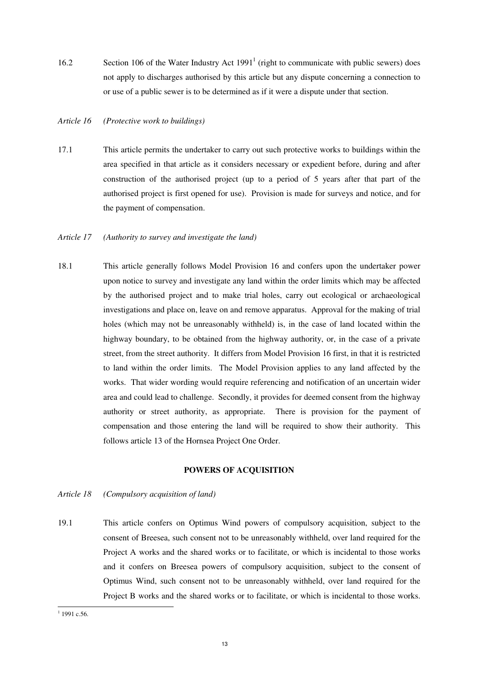16.2 Section 106 of the Water Industry Act 1991<sup>1</sup> (right to communicate with public sewers) does not apply to discharges authorised by this article but any dispute concerning a connection to or use of a public sewer is to be determined as if it were a dispute under that section.

#### *Article 16 (Protective work to buildings)*

17.1 This article permits the undertaker to carry out such protective works to buildings within the area specified in that article as it considers necessary or expedient before, during and after construction of the authorised project (up to a period of 5 years after that part of the authorised project is first opened for use). Provision is made for surveys and notice, and for the payment of compensation.

#### *Article 17 (Authority to survey and investigate the land)*

18.1 This article generally follows Model Provision 16 and confers upon the undertaker power upon notice to survey and investigate any land within the order limits which may be affected by the authorised project and to make trial holes, carry out ecological or archaeological investigations and place on, leave on and remove apparatus. Approval for the making of trial holes (which may not be unreasonably withheld) is, in the case of land located within the highway boundary, to be obtained from the highway authority, or, in the case of a private street, from the street authority. It differs from Model Provision 16 first, in that it is restricted to land within the order limits. The Model Provision applies to any land affected by the works. That wider wording would require referencing and notification of an uncertain wider area and could lead to challenge. Secondly, it provides for deemed consent from the highway authority or street authority, as appropriate. There is provision for the payment of compensation and those entering the land will be required to show their authority. This follows article 13 of the Hornsea Project One Order.

#### **POWERS OF ACQUISITION**

- *Article 18 (Compulsory acquisition of land)*
- 19.1 This article confers on Optimus Wind powers of compulsory acquisition, subject to the consent of Breesea, such consent not to be unreasonably withheld, over land required for the Project A works and the shared works or to facilitate, or which is incidental to those works and it confers on Breesea powers of compulsory acquisition, subject to the consent of Optimus Wind, such consent not to be unreasonably withheld, over land required for the Project B works and the shared works or to facilitate, or which is incidental to those works.

 $1$  1991 c.56.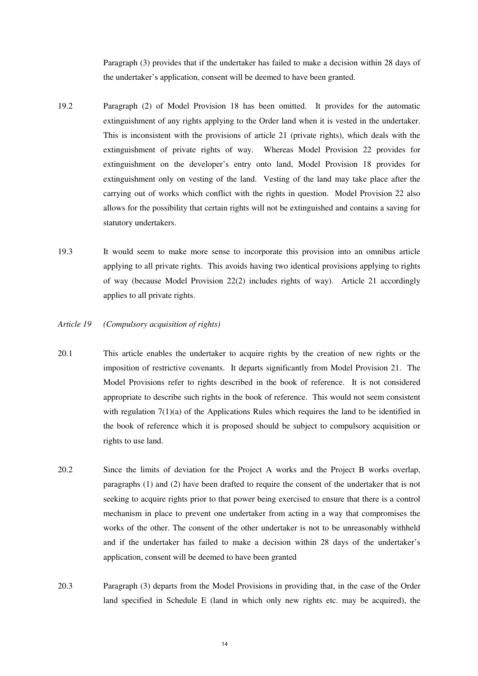Paragraph (3) provides that if the undertaker has failed to make a decision within 28 days of the undertaker's application, consent will be deemed to have been granted.

- 19.2 Paragraph (2) of Model Provision 18 has been omitted. It provides for the automatic extinguishment of any rights applying to the Order land when it is vested in the undertaker. This is inconsistent with the provisions of article 21 (private rights), which deals with the extinguishment of private rights of way. Whereas Model Provision 22 provides for extinguishment on the developer's entry onto land, Model Provision 18 provides for extinguishment only on vesting of the land. Vesting of the land may take place after the carrying out of works which conflict with the rights in question. Model Provision 22 also allows for the possibility that certain rights will not be extinguished and contains a saving for statutory undertakers.
- 19.3 It would seem to make more sense to incorporate this provision into an omnibus article applying to all private rights. This avoids having two identical provisions applying to rights of way (because Model Provision 22(2) includes rights of way). Article 21 accordingly applies to all private rights.
- *Article 19 (Compulsory acquisition of rights)*
- 20.1 This article enables the undertaker to acquire rights by the creation of new rights or the imposition of restrictive covenants. It departs significantly from Model Provision 21. The Model Provisions refer to rights described in the book of reference. It is not considered appropriate to describe such rights in the book of reference. This would not seem consistent with regulation  $7(1)(a)$  of the Applications Rules which requires the land to be identified in the book of reference which it is proposed should be subject to compulsory acquisition or rights to use land.
- 20.2 Since the limits of deviation for the Project A works and the Project B works overlap, paragraphs (1) and (2) have been drafted to require the consent of the undertaker that is not seeking to acquire rights prior to that power being exercised to ensure that there is a control mechanism in place to prevent one undertaker from acting in a way that compromises the works of the other. The consent of the other undertaker is not to be unreasonably withheld and if the undertaker has failed to make a decision within 28 days of the undertaker's application, consent will be deemed to have been granted
- 20.3 Paragraph (3) departs from the Model Provisions in providing that, in the case of the Order land specified in Schedule E (land in which only new rights etc. may be acquired), the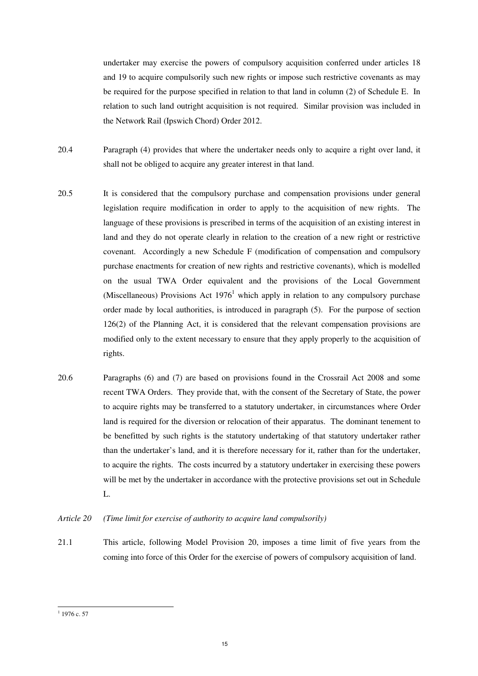undertaker may exercise the powers of compulsory acquisition conferred under articles 18 and 19 to acquire compulsorily such new rights or impose such restrictive covenants as may be required for the purpose specified in relation to that land in column (2) of Schedule E. In relation to such land outright acquisition is not required. Similar provision was included in the Network Rail (Ipswich Chord) Order 2012.

- 20.4 Paragraph (4) provides that where the undertaker needs only to acquire a right over land, it shall not be obliged to acquire any greater interest in that land.
- 20.5 It is considered that the compulsory purchase and compensation provisions under general legislation require modification in order to apply to the acquisition of new rights. The language of these provisions is prescribed in terms of the acquisition of an existing interest in land and they do not operate clearly in relation to the creation of a new right or restrictive covenant. Accordingly a new Schedule F (modification of compensation and compulsory purchase enactments for creation of new rights and restrictive covenants), which is modelled on the usual TWA Order equivalent and the provisions of the Local Government (Miscellaneous) Provisions Act  $1976<sup>1</sup>$  which apply in relation to any compulsory purchase order made by local authorities, is introduced in paragraph (5). For the purpose of section 126(2) of the Planning Act, it is considered that the relevant compensation provisions are modified only to the extent necessary to ensure that they apply properly to the acquisition of rights.
- 20.6 Paragraphs (6) and (7) are based on provisions found in the Crossrail Act 2008 and some recent TWA Orders. They provide that, with the consent of the Secretary of State, the power to acquire rights may be transferred to a statutory undertaker, in circumstances where Order land is required for the diversion or relocation of their apparatus. The dominant tenement to be benefitted by such rights is the statutory undertaking of that statutory undertaker rather than the undertaker's land, and it is therefore necessary for it, rather than for the undertaker, to acquire the rights. The costs incurred by a statutory undertaker in exercising these powers will be met by the undertaker in accordance with the protective provisions set out in Schedule L.
- *Article 20 (Time limit for exercise of authority to acquire land compulsorily)*
- 21.1 This article, following Model Provision 20, imposes a time limit of five years from the coming into force of this Order for the exercise of powers of compulsory acquisition of land.

 $\frac{1}{1}$  1976 c. 57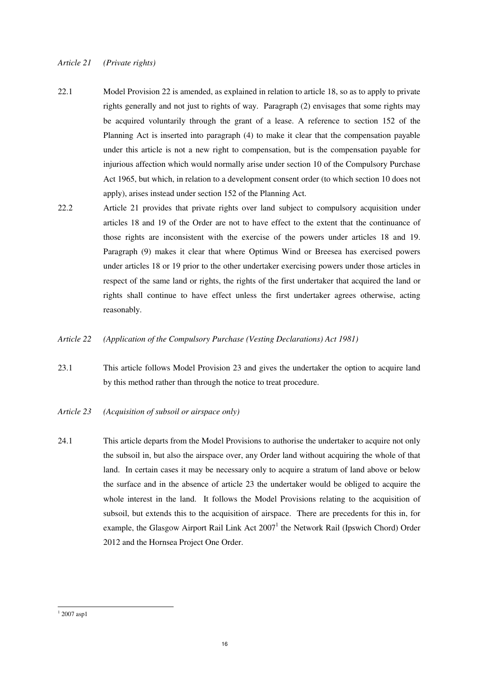#### *Article 21 (Private rights)*

- 22.1 Model Provision 22 is amended, as explained in relation to article 18, so as to apply to private rights generally and not just to rights of way. Paragraph (2) envisages that some rights may be acquired voluntarily through the grant of a lease. A reference to section 152 of the Planning Act is inserted into paragraph (4) to make it clear that the compensation payable under this article is not a new right to compensation, but is the compensation payable for injurious affection which would normally arise under section 10 of the Compulsory Purchase Act 1965, but which, in relation to a development consent order (to which section 10 does not apply), arises instead under section 152 of the Planning Act.
- 22.2 Article 21 provides that private rights over land subject to compulsory acquisition under articles 18 and 19 of the Order are not to have effect to the extent that the continuance of those rights are inconsistent with the exercise of the powers under articles 18 and 19. Paragraph (9) makes it clear that where Optimus Wind or Breesea has exercised powers under articles 18 or 19 prior to the other undertaker exercising powers under those articles in respect of the same land or rights, the rights of the first undertaker that acquired the land or rights shall continue to have effect unless the first undertaker agrees otherwise, acting reasonably.
- *Article 22 (Application of the Compulsory Purchase (Vesting Declarations) Act 1981)*
- 23.1 This article follows Model Provision 23 and gives the undertaker the option to acquire land by this method rather than through the notice to treat procedure.
- *Article 23 (Acquisition of subsoil or airspace only)*
- 24.1 This article departs from the Model Provisions to authorise the undertaker to acquire not only the subsoil in, but also the airspace over, any Order land without acquiring the whole of that land. In certain cases it may be necessary only to acquire a stratum of land above or below the surface and in the absence of article 23 the undertaker would be obliged to acquire the whole interest in the land. It follows the Model Provisions relating to the acquisition of subsoil, but extends this to the acquisition of airspace. There are precedents for this in, for example, the Glasgow Airport Rail Link Act 2007<sup>1</sup> the Network Rail (Ipswich Chord) Order 2012 and the Hornsea Project One Order.

<sup>&</sup>lt;sup>1</sup> 2007 asp1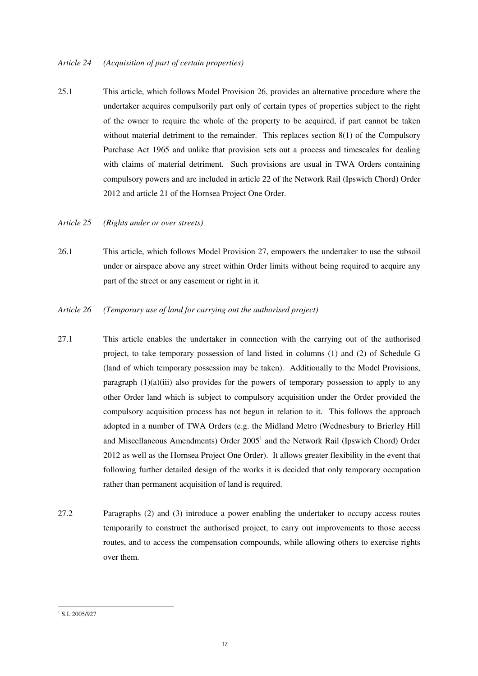#### *Article 24 (Acquisition of part of certain properties)*

- 25.1 This article, which follows Model Provision 26, provides an alternative procedure where the undertaker acquires compulsorily part only of certain types of properties subject to the right of the owner to require the whole of the property to be acquired, if part cannot be taken without material detriment to the remainder. This replaces section 8(1) of the Compulsory Purchase Act 1965 and unlike that provision sets out a process and timescales for dealing with claims of material detriment. Such provisions are usual in TWA Orders containing compulsory powers and are included in article 22 of the Network Rail (Ipswich Chord) Order 2012 and article 21 of the Hornsea Project One Order.
- *Article 25 (Rights under or over streets)*
- 26.1 This article, which follows Model Provision 27, empowers the undertaker to use the subsoil under or airspace above any street within Order limits without being required to acquire any part of the street or any easement or right in it.
- *Article 26 (Temporary use of land for carrying out the authorised project)*
- 27.1 This article enables the undertaker in connection with the carrying out of the authorised project, to take temporary possession of land listed in columns (1) and (2) of Schedule G (land of which temporary possession may be taken). Additionally to the Model Provisions, paragraph  $(1)(a)(iii)$  also provides for the powers of temporary possession to apply to any other Order land which is subject to compulsory acquisition under the Order provided the compulsory acquisition process has not begun in relation to it. This follows the approach adopted in a number of TWA Orders (e.g. the Midland Metro (Wednesbury to Brierley Hill and Miscellaneous Amendments) Order 2005<sup>1</sup> and the Network Rail (Ipswich Chord) Order 2012 as well as the Hornsea Project One Order). It allows greater flexibility in the event that following further detailed design of the works it is decided that only temporary occupation rather than permanent acquisition of land is required.
- 27.2 Paragraphs (2) and (3) introduce a power enabling the undertaker to occupy access routes temporarily to construct the authorised project, to carry out improvements to those access routes, and to access the compensation compounds, while allowing others to exercise rights over them.

<sup>&</sup>lt;sup>1</sup> S.I. 2005/927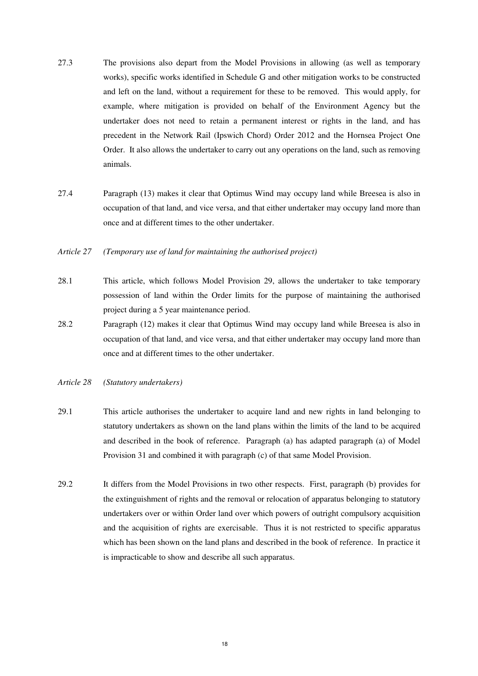- 27.3 The provisions also depart from the Model Provisions in allowing (as well as temporary works), specific works identified in Schedule G and other mitigation works to be constructed and left on the land, without a requirement for these to be removed. This would apply, for example, where mitigation is provided on behalf of the Environment Agency but the undertaker does not need to retain a permanent interest or rights in the land, and has precedent in the Network Rail (Ipswich Chord) Order 2012 and the Hornsea Project One Order. It also allows the undertaker to carry out any operations on the land, such as removing animals.
- 27.4 Paragraph (13) makes it clear that Optimus Wind may occupy land while Breesea is also in occupation of that land, and vice versa, and that either undertaker may occupy land more than once and at different times to the other undertaker.
- *Article 27 (Temporary use of land for maintaining the authorised project)*
- 28.1 This article, which follows Model Provision 29, allows the undertaker to take temporary possession of land within the Order limits for the purpose of maintaining the authorised project during a 5 year maintenance period.
- 28.2 Paragraph (12) makes it clear that Optimus Wind may occupy land while Breesea is also in occupation of that land, and vice versa, and that either undertaker may occupy land more than once and at different times to the other undertaker.
- *Article 28 (Statutory undertakers)*
- 29.1 This article authorises the undertaker to acquire land and new rights in land belonging to statutory undertakers as shown on the land plans within the limits of the land to be acquired and described in the book of reference. Paragraph (a) has adapted paragraph (a) of Model Provision 31 and combined it with paragraph (c) of that same Model Provision.
- 29.2 It differs from the Model Provisions in two other respects. First, paragraph (b) provides for the extinguishment of rights and the removal or relocation of apparatus belonging to statutory undertakers over or within Order land over which powers of outright compulsory acquisition and the acquisition of rights are exercisable. Thus it is not restricted to specific apparatus which has been shown on the land plans and described in the book of reference. In practice it is impracticable to show and describe all such apparatus.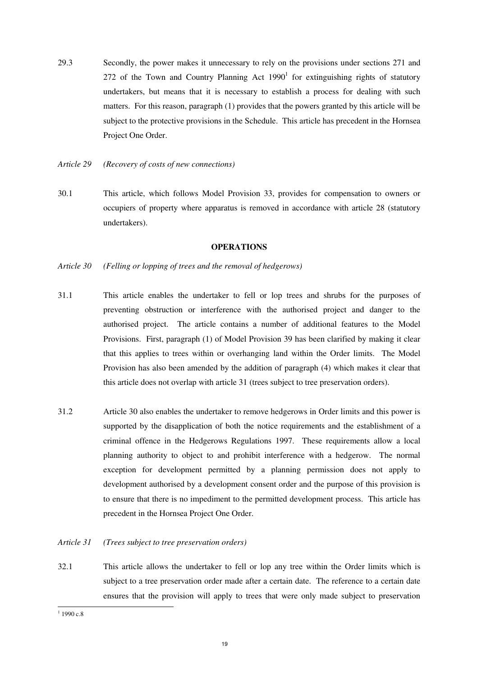- 29.3 Secondly, the power makes it unnecessary to rely on the provisions under sections 271 and 272 of the Town and Country Planning Act  $1990<sup>1</sup>$  for extinguishing rights of statutory undertakers, but means that it is necessary to establish a process for dealing with such matters. For this reason, paragraph (1) provides that the powers granted by this article will be subject to the protective provisions in the Schedule. This article has precedent in the Hornsea Project One Order.
- *Article 29 (Recovery of costs of new connections)*
- 30.1 This article, which follows Model Provision 33, provides for compensation to owners or occupiers of property where apparatus is removed in accordance with article 28 (statutory undertakers).

#### **OPERATIONS**

- *Article 30 (Felling or lopping of trees and the removal of hedgerows)*
- 31.1 This article enables the undertaker to fell or lop trees and shrubs for the purposes of preventing obstruction or interference with the authorised project and danger to the authorised project. The article contains a number of additional features to the Model Provisions. First, paragraph (1) of Model Provision 39 has been clarified by making it clear that this applies to trees within or overhanging land within the Order limits. The Model Provision has also been amended by the addition of paragraph (4) which makes it clear that this article does not overlap with article 31 (trees subject to tree preservation orders).
- 31.2 Article 30 also enables the undertaker to remove hedgerows in Order limits and this power is supported by the disapplication of both the notice requirements and the establishment of a criminal offence in the Hedgerows Regulations 1997. These requirements allow a local planning authority to object to and prohibit interference with a hedgerow. The normal exception for development permitted by a planning permission does not apply to development authorised by a development consent order and the purpose of this provision is to ensure that there is no impediment to the permitted development process. This article has precedent in the Hornsea Project One Order.

#### *Article 31 (Trees subject to tree preservation orders)*

32.1 This article allows the undertaker to fell or lop any tree within the Order limits which is subject to a tree preservation order made after a certain date. The reference to a certain date ensures that the provision will apply to trees that were only made subject to preservation

 $1\overline{1990}$  c.8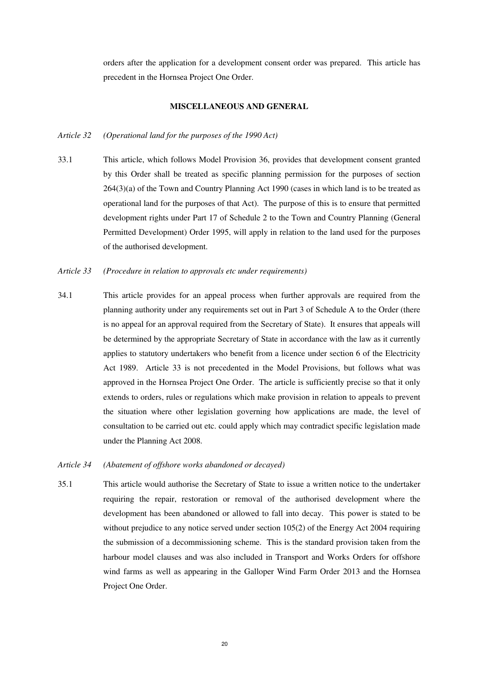orders after the application for a development consent order was prepared. This article has precedent in the Hornsea Project One Order.

#### **MISCELLANEOUS AND GENERAL**

#### *Article 32 (Operational land for the purposes of the 1990 Act)*

- 33.1 This article, which follows Model Provision 36, provides that development consent granted by this Order shall be treated as specific planning permission for the purposes of section 264(3)(a) of the Town and Country Planning Act 1990 (cases in which land is to be treated as operational land for the purposes of that Act). The purpose of this is to ensure that permitted development rights under Part 17 of Schedule 2 to the Town and Country Planning (General Permitted Development) Order 1995, will apply in relation to the land used for the purposes of the authorised development.
- *Article 33 (Procedure in relation to approvals etc under requirements)*
- 34.1 This article provides for an appeal process when further approvals are required from the planning authority under any requirements set out in Part 3 of Schedule A to the Order (there is no appeal for an approval required from the Secretary of State). It ensures that appeals will be determined by the appropriate Secretary of State in accordance with the law as it currently applies to statutory undertakers who benefit from a licence under section 6 of the Electricity Act 1989. Article 33 is not precedented in the Model Provisions, but follows what was approved in the Hornsea Project One Order. The article is sufficiently precise so that it only extends to orders, rules or regulations which make provision in relation to appeals to prevent the situation where other legislation governing how applications are made, the level of consultation to be carried out etc. could apply which may contradict specific legislation made under the Planning Act 2008.

#### *Article 34 (Abatement of offshore works abandoned or decayed)*

35.1 This article would authorise the Secretary of State to issue a written notice to the undertaker requiring the repair, restoration or removal of the authorised development where the development has been abandoned or allowed to fall into decay. This power is stated to be without prejudice to any notice served under section 105(2) of the Energy Act 2004 requiring the submission of a decommissioning scheme. This is the standard provision taken from the harbour model clauses and was also included in Transport and Works Orders for offshore wind farms as well as appearing in the Galloper Wind Farm Order 2013 and the Hornsea Project One Order.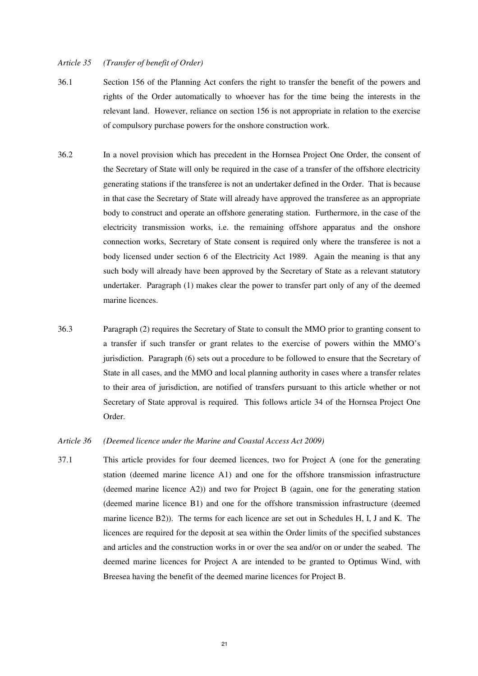#### *Article 35 (Transfer of benefit of Order)*

- 36.1 Section 156 of the Planning Act confers the right to transfer the benefit of the powers and rights of the Order automatically to whoever has for the time being the interests in the relevant land. However, reliance on section 156 is not appropriate in relation to the exercise of compulsory purchase powers for the onshore construction work.
- 36.2 In a novel provision which has precedent in the Hornsea Project One Order, the consent of the Secretary of State will only be required in the case of a transfer of the offshore electricity generating stations if the transferee is not an undertaker defined in the Order. That is because in that case the Secretary of State will already have approved the transferee as an appropriate body to construct and operate an offshore generating station. Furthermore, in the case of the electricity transmission works, i.e. the remaining offshore apparatus and the onshore connection works, Secretary of State consent is required only where the transferee is not a body licensed under section 6 of the Electricity Act 1989. Again the meaning is that any such body will already have been approved by the Secretary of State as a relevant statutory undertaker. Paragraph (1) makes clear the power to transfer part only of any of the deemed marine licences.
- 36.3 Paragraph (2) requires the Secretary of State to consult the MMO prior to granting consent to a transfer if such transfer or grant relates to the exercise of powers within the MMO's jurisdiction. Paragraph (6) sets out a procedure to be followed to ensure that the Secretary of State in all cases, and the MMO and local planning authority in cases where a transfer relates to their area of jurisdiction, are notified of transfers pursuant to this article whether or not Secretary of State approval is required. This follows article 34 of the Hornsea Project One Order.
- *Article 36 (Deemed licence under the Marine and Coastal Access Act 2009)*
- 37.1 This article provides for four deemed licences, two for Project A (one for the generating station (deemed marine licence A1) and one for the offshore transmission infrastructure (deemed marine licence A2)) and two for Project B (again, one for the generating station (deemed marine licence B1) and one for the offshore transmission infrastructure (deemed marine licence B2)). The terms for each licence are set out in Schedules H, I, J and K. The licences are required for the deposit at sea within the Order limits of the specified substances and articles and the construction works in or over the sea and/or on or under the seabed. The deemed marine licences for Project A are intended to be granted to Optimus Wind, with Breesea having the benefit of the deemed marine licences for Project B.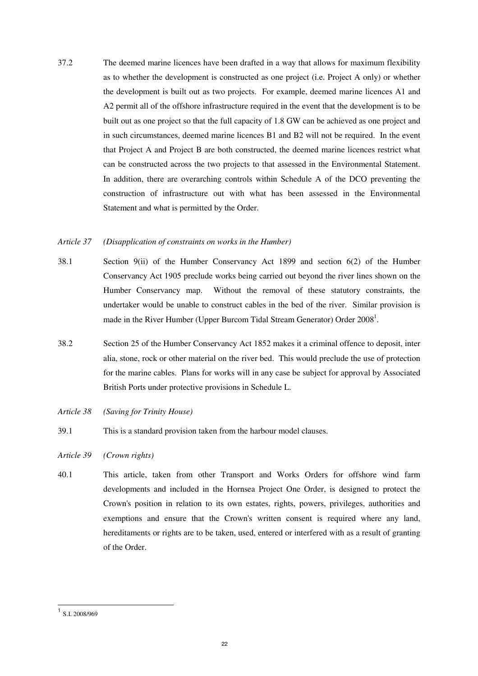37.2 The deemed marine licences have been drafted in a way that allows for maximum flexibility as to whether the development is constructed as one project (i.e. Project A only) or whether the development is built out as two projects. For example, deemed marine licences A1 and A2 permit all of the offshore infrastructure required in the event that the development is to be built out as one project so that the full capacity of 1.8 GW can be achieved as one project and in such circumstances, deemed marine licences B1 and B2 will not be required. In the event that Project A and Project B are both constructed, the deemed marine licences restrict what can be constructed across the two projects to that assessed in the Environmental Statement. In addition, there are overarching controls within Schedule A of the DCO preventing the construction of infrastructure out with what has been assessed in the Environmental Statement and what is permitted by the Order.

#### *Article 37 (Disapplication of constraints on works in the Humber)*

- 38.1 Section 9(ii) of the Humber Conservancy Act 1899 and section 6(2) of the Humber Conservancy Act 1905 preclude works being carried out beyond the river lines shown on the Humber Conservancy map. Without the removal of these statutory constraints, the undertaker would be unable to construct cables in the bed of the river. Similar provision is made in the River Humber (Upper Burcom Tidal Stream Generator) Order  $2008<sup>1</sup>$ .
- 38.2 Section 25 of the Humber Conservancy Act 1852 makes it a criminal offence to deposit, inter alia, stone, rock or other material on the river bed. This would preclude the use of protection for the marine cables. Plans for works will in any case be subject for approval by Associated British Ports under protective provisions in Schedule L.
- *Article 38 (Saving for Trinity House)*
- 39.1 This is a standard provision taken from the harbour model clauses.
- *Article 39 (Crown rights)*
- 40.1 This article, taken from other Transport and Works Orders for offshore wind farm developments and included in the Hornsea Project One Order, is designed to protect the Crown's position in relation to its own estates, rights, powers, privileges, authorities and exemptions and ensure that the Crown's written consent is required where any land, hereditaments or rights are to be taken, used, entered or interfered with as a result of granting of the Order.

 1 S.I. 2008/969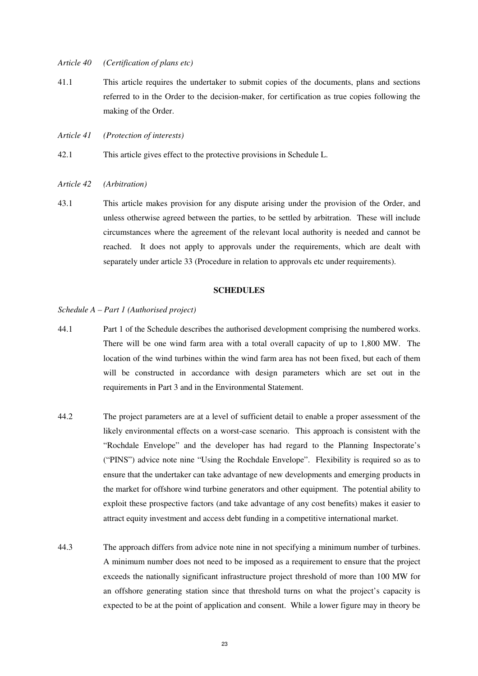#### *Article 40 (Certification of plans etc)*

- 41.1 This article requires the undertaker to submit copies of the documents, plans and sections referred to in the Order to the decision-maker, for certification as true copies following the making of the Order.
- *Article 41 (Protection of interests)*
- 42.1 This article gives effect to the protective provisions in Schedule L.

#### *Article 42 (Arbitration)*

43.1 This article makes provision for any dispute arising under the provision of the Order, and unless otherwise agreed between the parties, to be settled by arbitration. These will include circumstances where the agreement of the relevant local authority is needed and cannot be reached. It does not apply to approvals under the requirements, which are dealt with separately under article 33 (Procedure in relation to approvals etc under requirements).

#### **SCHEDULES**

#### *Schedule A – Part 1 (Authorised project)*

- 44.1 Part 1 of the Schedule describes the authorised development comprising the numbered works. There will be one wind farm area with a total overall capacity of up to 1,800 MW. The location of the wind turbines within the wind farm area has not been fixed, but each of them will be constructed in accordance with design parameters which are set out in the requirements in Part 3 and in the Environmental Statement.
- 44.2 The project parameters are at a level of sufficient detail to enable a proper assessment of the likely environmental effects on a worst-case scenario. This approach is consistent with the "Rochdale Envelope" and the developer has had regard to the Planning Inspectorate's ("PINS") advice note nine "Using the Rochdale Envelope". Flexibility is required so as to ensure that the undertaker can take advantage of new developments and emerging products in the market for offshore wind turbine generators and other equipment. The potential ability to exploit these prospective factors (and take advantage of any cost benefits) makes it easier to attract equity investment and access debt funding in a competitive international market.
- 44.3 The approach differs from advice note nine in not specifying a minimum number of turbines. A minimum number does not need to be imposed as a requirement to ensure that the project exceeds the nationally significant infrastructure project threshold of more than 100 MW for an offshore generating station since that threshold turns on what the project's capacity is expected to be at the point of application and consent. While a lower figure may in theory be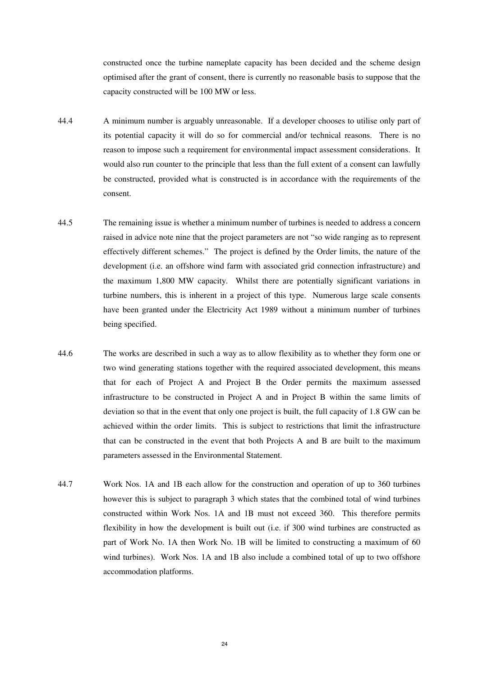constructed once the turbine nameplate capacity has been decided and the scheme design optimised after the grant of consent, there is currently no reasonable basis to suppose that the capacity constructed will be 100 MW or less.

- 44.4 A minimum number is arguably unreasonable. If a developer chooses to utilise only part of its potential capacity it will do so for commercial and/or technical reasons. There is no reason to impose such a requirement for environmental impact assessment considerations. It would also run counter to the principle that less than the full extent of a consent can lawfully be constructed, provided what is constructed is in accordance with the requirements of the consent.
- 44.5 The remaining issue is whether a minimum number of turbines is needed to address a concern raised in advice note nine that the project parameters are not "so wide ranging as to represent effectively different schemes." The project is defined by the Order limits, the nature of the development (i.e. an offshore wind farm with associated grid connection infrastructure) and the maximum 1,800 MW capacity. Whilst there are potentially significant variations in turbine numbers, this is inherent in a project of this type. Numerous large scale consents have been granted under the Electricity Act 1989 without a minimum number of turbines being specified.
- 44.6 The works are described in such a way as to allow flexibility as to whether they form one or two wind generating stations together with the required associated development, this means that for each of Project A and Project B the Order permits the maximum assessed infrastructure to be constructed in Project A and in Project B within the same limits of deviation so that in the event that only one project is built, the full capacity of 1.8 GW can be achieved within the order limits. This is subject to restrictions that limit the infrastructure that can be constructed in the event that both Projects A and B are built to the maximum parameters assessed in the Environmental Statement.
- 44.7 Work Nos. 1A and 1B each allow for the construction and operation of up to 360 turbines however this is subject to paragraph 3 which states that the combined total of wind turbines constructed within Work Nos. 1A and 1B must not exceed 360. This therefore permits flexibility in how the development is built out (i.e. if 300 wind turbines are constructed as part of Work No. 1A then Work No. 1B will be limited to constructing a maximum of 60 wind turbines). Work Nos. 1A and 1B also include a combined total of up to two offshore accommodation platforms.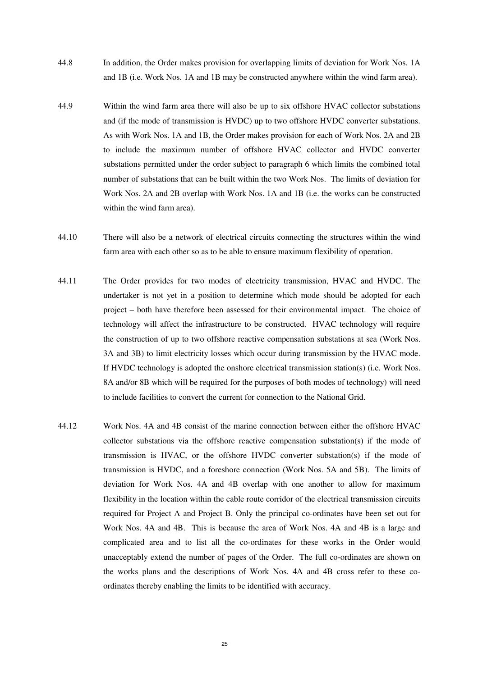- 44.8 In addition, the Order makes provision for overlapping limits of deviation for Work Nos. 1A and 1B (i.e. Work Nos. 1A and 1B may be constructed anywhere within the wind farm area).
- 44.9 Within the wind farm area there will also be up to six offshore HVAC collector substations and (if the mode of transmission is HVDC) up to two offshore HVDC converter substations. As with Work Nos. 1A and 1B, the Order makes provision for each of Work Nos. 2A and 2B to include the maximum number of offshore HVAC collector and HVDC converter substations permitted under the order subject to paragraph 6 which limits the combined total number of substations that can be built within the two Work Nos. The limits of deviation for Work Nos. 2A and 2B overlap with Work Nos. 1A and 1B (i.e. the works can be constructed within the wind farm area).
- 44.10 There will also be a network of electrical circuits connecting the structures within the wind farm area with each other so as to be able to ensure maximum flexibility of operation.
- 44.11 The Order provides for two modes of electricity transmission, HVAC and HVDC. The undertaker is not yet in a position to determine which mode should be adopted for each project – both have therefore been assessed for their environmental impact. The choice of technology will affect the infrastructure to be constructed. HVAC technology will require the construction of up to two offshore reactive compensation substations at sea (Work Nos. 3A and 3B) to limit electricity losses which occur during transmission by the HVAC mode. If HVDC technology is adopted the onshore electrical transmission station(s) (i.e. Work Nos. 8A and/or 8B which will be required for the purposes of both modes of technology) will need to include facilities to convert the current for connection to the National Grid.
- 44.12 Work Nos. 4A and 4B consist of the marine connection between either the offshore HVAC collector substations via the offshore reactive compensation substation(s) if the mode of transmission is HVAC, or the offshore HVDC converter substation(s) if the mode of transmission is HVDC, and a foreshore connection (Work Nos. 5A and 5B). The limits of deviation for Work Nos. 4A and 4B overlap with one another to allow for maximum flexibility in the location within the cable route corridor of the electrical transmission circuits required for Project A and Project B. Only the principal co-ordinates have been set out for Work Nos. 4A and 4B. This is because the area of Work Nos. 4A and 4B is a large and complicated area and to list all the co-ordinates for these works in the Order would unacceptably extend the number of pages of the Order. The full co-ordinates are shown on the works plans and the descriptions of Work Nos. 4A and 4B cross refer to these coordinates thereby enabling the limits to be identified with accuracy.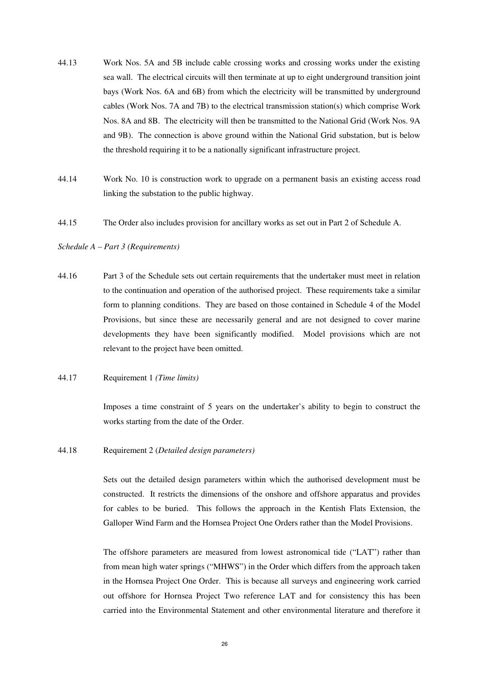- 44.13 Work Nos. 5A and 5B include cable crossing works and crossing works under the existing sea wall. The electrical circuits will then terminate at up to eight underground transition joint bays (Work Nos. 6A and 6B) from which the electricity will be transmitted by underground cables (Work Nos. 7A and 7B) to the electrical transmission station(s) which comprise Work Nos. 8A and 8B. The electricity will then be transmitted to the National Grid (Work Nos. 9A and 9B). The connection is above ground within the National Grid substation, but is below the threshold requiring it to be a nationally significant infrastructure project.
- 44.14 Work No. 10 is construction work to upgrade on a permanent basis an existing access road linking the substation to the public highway.
- 44.15 The Order also includes provision for ancillary works as set out in Part 2 of Schedule A.

#### *Schedule A – Part 3 (Requirements)*

- 44.16 Part 3 of the Schedule sets out certain requirements that the undertaker must meet in relation to the continuation and operation of the authorised project. These requirements take a similar form to planning conditions. They are based on those contained in Schedule 4 of the Model Provisions, but since these are necessarily general and are not designed to cover marine developments they have been significantly modified. Model provisions which are not relevant to the project have been omitted.
- 44.17 Requirement 1 *(Time limits)*

Imposes a time constraint of 5 years on the undertaker's ability to begin to construct the works starting from the date of the Order.

44.18 Requirement 2 (*Detailed design parameters)*

Sets out the detailed design parameters within which the authorised development must be constructed. It restricts the dimensions of the onshore and offshore apparatus and provides for cables to be buried. This follows the approach in the Kentish Flats Extension, the Galloper Wind Farm and the Hornsea Project One Orders rather than the Model Provisions.

The offshore parameters are measured from lowest astronomical tide ("LAT") rather than from mean high water springs ("MHWS") in the Order which differs from the approach taken in the Hornsea Project One Order. This is because all surveys and engineering work carried out offshore for Hornsea Project Two reference LAT and for consistency this has been carried into the Environmental Statement and other environmental literature and therefore it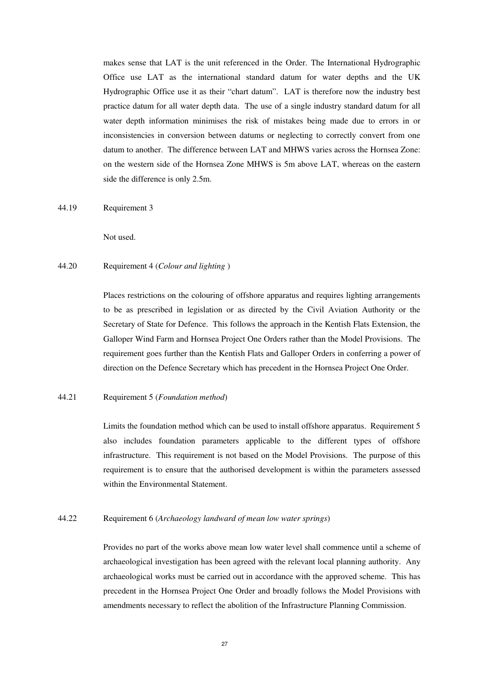makes sense that LAT is the unit referenced in the Order. The International Hydrographic Office use LAT as the international standard datum for water depths and the UK Hydrographic Office use it as their "chart datum". LAT is therefore now the industry best practice datum for all water depth data. The use of a single industry standard datum for all water depth information minimises the risk of mistakes being made due to errors in or inconsistencies in conversion between datums or neglecting to correctly convert from one datum to another. The difference between LAT and MHWS varies across the Hornsea Zone: on the western side of the Hornsea Zone MHWS is 5m above LAT, whereas on the eastern side the difference is only 2.5m.

44.19 Requirement 3

Not used.

#### 44.20 Requirement 4 (*Colour and lighting* )

Places restrictions on the colouring of offshore apparatus and requires lighting arrangements to be as prescribed in legislation or as directed by the Civil Aviation Authority or the Secretary of State for Defence. This follows the approach in the Kentish Flats Extension, the Galloper Wind Farm and Hornsea Project One Orders rather than the Model Provisions. The requirement goes further than the Kentish Flats and Galloper Orders in conferring a power of direction on the Defence Secretary which has precedent in the Hornsea Project One Order.

#### 44.21 Requirement 5 (*Foundation method*)

Limits the foundation method which can be used to install offshore apparatus. Requirement 5 also includes foundation parameters applicable to the different types of offshore infrastructure. This requirement is not based on the Model Provisions. The purpose of this requirement is to ensure that the authorised development is within the parameters assessed within the Environmental Statement.

#### 44.22 Requirement 6 (*Archaeology landward of mean low water springs*)

Provides no part of the works above mean low water level shall commence until a scheme of archaeological investigation has been agreed with the relevant local planning authority. Any archaeological works must be carried out in accordance with the approved scheme. This has precedent in the Hornsea Project One Order and broadly follows the Model Provisions with amendments necessary to reflect the abolition of the Infrastructure Planning Commission.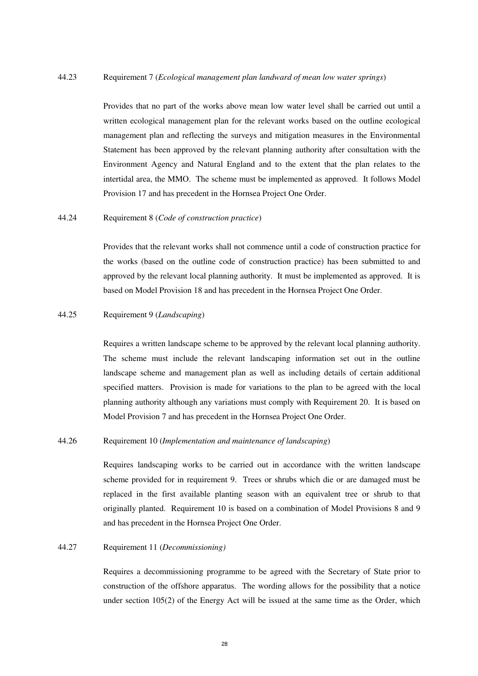#### 44.23 Requirement 7 (*Ecological management plan landward of mean low water springs*)

Provides that no part of the works above mean low water level shall be carried out until a written ecological management plan for the relevant works based on the outline ecological management plan and reflecting the surveys and mitigation measures in the Environmental Statement has been approved by the relevant planning authority after consultation with the Environment Agency and Natural England and to the extent that the plan relates to the intertidal area, the MMO. The scheme must be implemented as approved. It follows Model Provision 17 and has precedent in the Hornsea Project One Order.

#### 44.24 Requirement 8 (*Code of construction practice*)

Provides that the relevant works shall not commence until a code of construction practice for the works (based on the outline code of construction practice) has been submitted to and approved by the relevant local planning authority. It must be implemented as approved. It is based on Model Provision 18 and has precedent in the Hornsea Project One Order.

#### 44.25 Requirement 9 (*Landscaping*)

Requires a written landscape scheme to be approved by the relevant local planning authority. The scheme must include the relevant landscaping information set out in the outline landscape scheme and management plan as well as including details of certain additional specified matters. Provision is made for variations to the plan to be agreed with the local planning authority although any variations must comply with Requirement 20. It is based on Model Provision 7 and has precedent in the Hornsea Project One Order.

#### 44.26 Requirement 10 (*Implementation and maintenance of landscaping*)

Requires landscaping works to be carried out in accordance with the written landscape scheme provided for in requirement 9. Trees or shrubs which die or are damaged must be replaced in the first available planting season with an equivalent tree or shrub to that originally planted. Requirement 10 is based on a combination of Model Provisions 8 and 9 and has precedent in the Hornsea Project One Order.

#### 44.27 Requirement 11 (*Decommissioning)*

Requires a decommissioning programme to be agreed with the Secretary of State prior to construction of the offshore apparatus. The wording allows for the possibility that a notice under section 105(2) of the Energy Act will be issued at the same time as the Order, which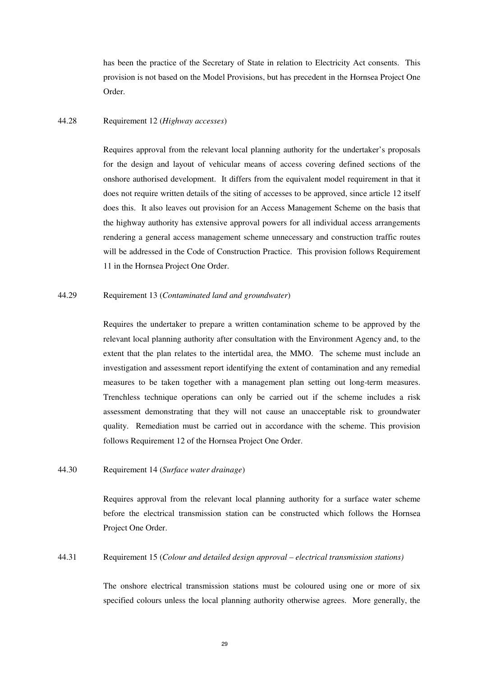has been the practice of the Secretary of State in relation to Electricity Act consents. This provision is not based on the Model Provisions, but has precedent in the Hornsea Project One Order.

#### 44.28 Requirement 12 (*Highway accesses*)

Requires approval from the relevant local planning authority for the undertaker's proposals for the design and layout of vehicular means of access covering defined sections of the onshore authorised development. It differs from the equivalent model requirement in that it does not require written details of the siting of accesses to be approved, since article 12 itself does this. It also leaves out provision for an Access Management Scheme on the basis that the highway authority has extensive approval powers for all individual access arrangements rendering a general access management scheme unnecessary and construction traffic routes will be addressed in the Code of Construction Practice. This provision follows Requirement 11 in the Hornsea Project One Order.

#### 44.29 Requirement 13 (*Contaminated land and groundwater*)

Requires the undertaker to prepare a written contamination scheme to be approved by the relevant local planning authority after consultation with the Environment Agency and, to the extent that the plan relates to the intertidal area, the MMO. The scheme must include an investigation and assessment report identifying the extent of contamination and any remedial measures to be taken together with a management plan setting out long-term measures. Trenchless technique operations can only be carried out if the scheme includes a risk assessment demonstrating that they will not cause an unacceptable risk to groundwater quality. Remediation must be carried out in accordance with the scheme. This provision follows Requirement 12 of the Hornsea Project One Order.

#### 44.30 Requirement 14 (*Surface water drainage*)

Requires approval from the relevant local planning authority for a surface water scheme before the electrical transmission station can be constructed which follows the Hornsea Project One Order.

#### 44.31 Requirement 15 (*Colour and detailed design approval – electrical transmission stations)*

The onshore electrical transmission stations must be coloured using one or more of six specified colours unless the local planning authority otherwise agrees. More generally, the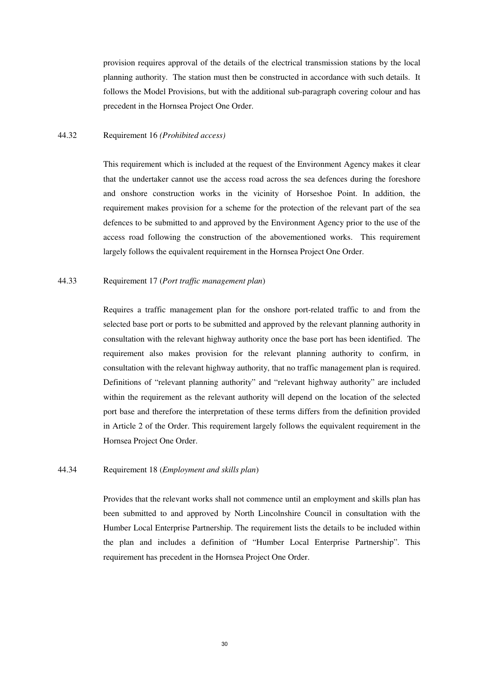provision requires approval of the details of the electrical transmission stations by the local planning authority. The station must then be constructed in accordance with such details. It follows the Model Provisions, but with the additional sub-paragraph covering colour and has precedent in the Hornsea Project One Order.

#### 44.32 Requirement 16 *(Prohibited access)*

This requirement which is included at the request of the Environment Agency makes it clear that the undertaker cannot use the access road across the sea defences during the foreshore and onshore construction works in the vicinity of Horseshoe Point. In addition, the requirement makes provision for a scheme for the protection of the relevant part of the sea defences to be submitted to and approved by the Environment Agency prior to the use of the access road following the construction of the abovementioned works. This requirement largely follows the equivalent requirement in the Hornsea Project One Order.

#### 44.33 Requirement 17 (*Port traffic management plan*)

Requires a traffic management plan for the onshore port-related traffic to and from the selected base port or ports to be submitted and approved by the relevant planning authority in consultation with the relevant highway authority once the base port has been identified. The requirement also makes provision for the relevant planning authority to confirm, in consultation with the relevant highway authority, that no traffic management plan is required. Definitions of "relevant planning authority" and "relevant highway authority" are included within the requirement as the relevant authority will depend on the location of the selected port base and therefore the interpretation of these terms differs from the definition provided in Article 2 of the Order. This requirement largely follows the equivalent requirement in the Hornsea Project One Order.

#### 44.34 Requirement 18 (*Employment and skills plan*)

Provides that the relevant works shall not commence until an employment and skills plan has been submitted to and approved by North Lincolnshire Council in consultation with the Humber Local Enterprise Partnership. The requirement lists the details to be included within the plan and includes a definition of "Humber Local Enterprise Partnership". This requirement has precedent in the Hornsea Project One Order.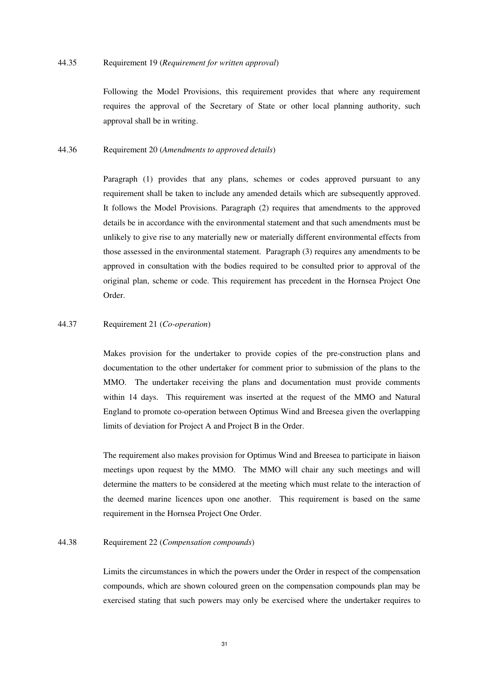Following the Model Provisions, this requirement provides that where any requirement requires the approval of the Secretary of State or other local planning authority, such approval shall be in writing.

#### 44.36 Requirement 20 (*Amendments to approved details*)

Paragraph (1) provides that any plans, schemes or codes approved pursuant to any requirement shall be taken to include any amended details which are subsequently approved. It follows the Model Provisions. Paragraph (2) requires that amendments to the approved details be in accordance with the environmental statement and that such amendments must be unlikely to give rise to any materially new or materially different environmental effects from those assessed in the environmental statement. Paragraph (3) requires any amendments to be approved in consultation with the bodies required to be consulted prior to approval of the original plan, scheme or code. This requirement has precedent in the Hornsea Project One Order.

#### 44.37 Requirement 21 (*Co-operation*)

Makes provision for the undertaker to provide copies of the pre-construction plans and documentation to the other undertaker for comment prior to submission of the plans to the MMO. The undertaker receiving the plans and documentation must provide comments within 14 days. This requirement was inserted at the request of the MMO and Natural England to promote co-operation between Optimus Wind and Breesea given the overlapping limits of deviation for Project A and Project B in the Order.

The requirement also makes provision for Optimus Wind and Breesea to participate in liaison meetings upon request by the MMO. The MMO will chair any such meetings and will determine the matters to be considered at the meeting which must relate to the interaction of the deemed marine licences upon one another. This requirement is based on the same requirement in the Hornsea Project One Order.

#### 44.38 Requirement 22 (*Compensation compounds*)

Limits the circumstances in which the powers under the Order in respect of the compensation compounds, which are shown coloured green on the compensation compounds plan may be exercised stating that such powers may only be exercised where the undertaker requires to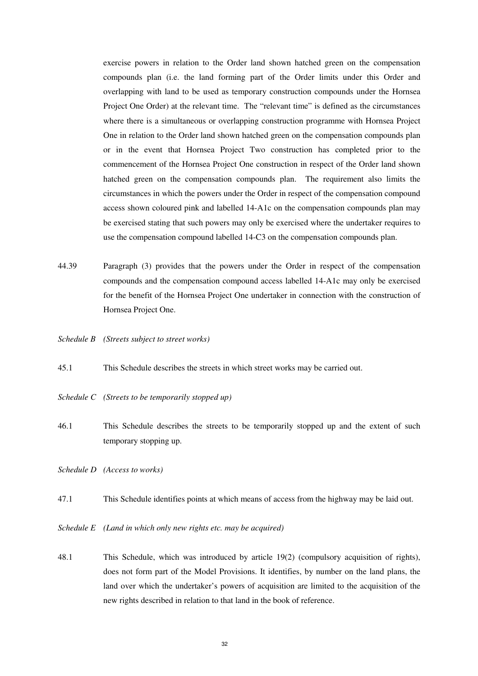exercise powers in relation to the Order land shown hatched green on the compensation compounds plan (i.e. the land forming part of the Order limits under this Order and overlapping with land to be used as temporary construction compounds under the Hornsea Project One Order) at the relevant time. The "relevant time" is defined as the circumstances where there is a simultaneous or overlapping construction programme with Hornsea Project One in relation to the Order land shown hatched green on the compensation compounds plan or in the event that Hornsea Project Two construction has completed prior to the commencement of the Hornsea Project One construction in respect of the Order land shown hatched green on the compensation compounds plan. The requirement also limits the circumstances in which the powers under the Order in respect of the compensation compound access shown coloured pink and labelled 14-A1c on the compensation compounds plan may be exercised stating that such powers may only be exercised where the undertaker requires to use the compensation compound labelled 14-C3 on the compensation compounds plan.

- 44.39 Paragraph (3) provides that the powers under the Order in respect of the compensation compounds and the compensation compound access labelled 14-A1c may only be exercised for the benefit of the Hornsea Project One undertaker in connection with the construction of Hornsea Project One.
- *Schedule B (Streets subject to street works)*
- 45.1 This Schedule describes the streets in which street works may be carried out.
- *Schedule C (Streets to be temporarily stopped up)*
- 46.1 This Schedule describes the streets to be temporarily stopped up and the extent of such temporary stopping up.
- *Schedule D (Access to works)*
- 47.1 This Schedule identifies points at which means of access from the highway may be laid out.
- *Schedule E (Land in which only new rights etc. may be acquired)*
- 48.1 This Schedule, which was introduced by article 19(2) (compulsory acquisition of rights), does not form part of the Model Provisions. It identifies, by number on the land plans, the land over which the undertaker's powers of acquisition are limited to the acquisition of the new rights described in relation to that land in the book of reference.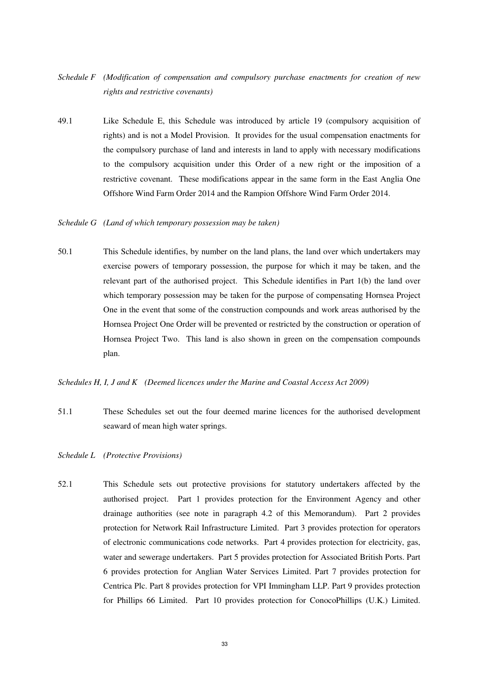- *Schedule F (Modification of compensation and compulsory purchase enactments for creation of new rights and restrictive covenants)*
- 49.1 Like Schedule E, this Schedule was introduced by article 19 (compulsory acquisition of rights) and is not a Model Provision. It provides for the usual compensation enactments for the compulsory purchase of land and interests in land to apply with necessary modifications to the compulsory acquisition under this Order of a new right or the imposition of a restrictive covenant. These modifications appear in the same form in the East Anglia One Offshore Wind Farm Order 2014 and the Rampion Offshore Wind Farm Order 2014.

#### *Schedule G (Land of which temporary possession may be taken)*

50.1 This Schedule identifies, by number on the land plans, the land over which undertakers may exercise powers of temporary possession, the purpose for which it may be taken, and the relevant part of the authorised project. This Schedule identifies in Part 1(b) the land over which temporary possession may be taken for the purpose of compensating Hornsea Project One in the event that some of the construction compounds and work areas authorised by the Hornsea Project One Order will be prevented or restricted by the construction or operation of Hornsea Project Two. This land is also shown in green on the compensation compounds plan.

#### *Schedules H, I, J and K (Deemed licences under the Marine and Coastal Access Act 2009)*

51.1 These Schedules set out the four deemed marine licences for the authorised development seaward of mean high water springs.

#### *Schedule L (Protective Provisions)*

52.1 This Schedule sets out protective provisions for statutory undertakers affected by the authorised project. Part 1 provides protection for the Environment Agency and other drainage authorities (see note in paragraph 4.2 of this Memorandum). Part 2 provides protection for Network Rail Infrastructure Limited. Part 3 provides protection for operators of electronic communications code networks. Part 4 provides protection for electricity, gas, water and sewerage undertakers. Part 5 provides protection for Associated British Ports. Part 6 provides protection for Anglian Water Services Limited. Part 7 provides protection for Centrica Plc. Part 8 provides protection for VPI Immingham LLP. Part 9 provides protection for Phillips 66 Limited. Part 10 provides protection for ConocoPhillips (U.K.) Limited.